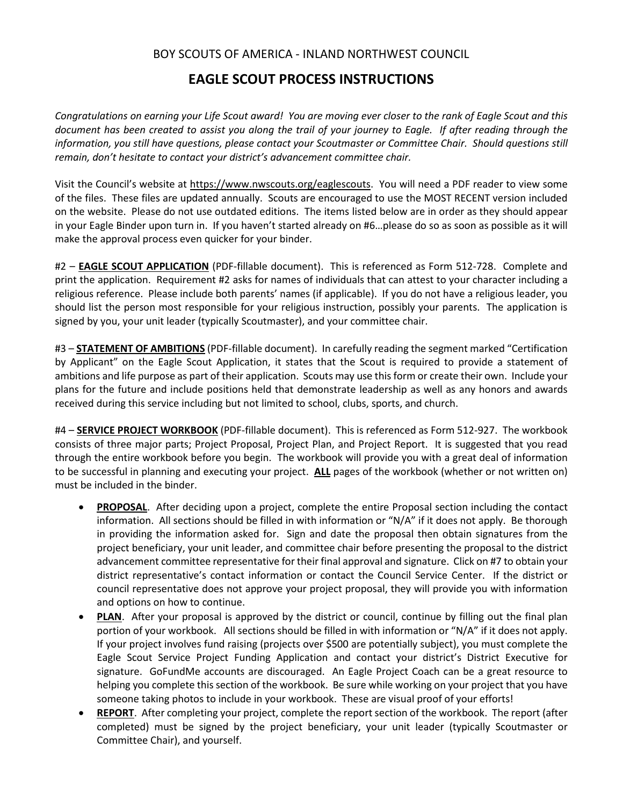## BOY SCOUTS OF AMERICA - INLAND NORTHWEST COUNCIL

## **EAGLE SCOUT PROCESS INSTRUCTIONS**

*Congratulations on earning your Life Scout award! You are moving ever closer to the rank of Eagle Scout and this document has been created to assist you along the trail of your journey to Eagle. If after reading through the information, you still have questions, please contact your Scoutmaster or Committee Chair. Should questions still remain, don't hesitate to contact your district's advancement committee chair.*

Visit the Council's website at [https://www.nwscouts.org/eaglescouts.](https://www.nwscouts.org/eaglescouts) You will need a PDF reader to view some of the files. These files are updated annually. Scouts are encouraged to use the MOST RECENT version included on the website. Please do not use outdated editions. The items listed below are in order as they should appear in your Eagle Binder upon turn in. If you haven't started already on #6…please do so as soon as possible as it will make the approval process even quicker for your binder.

#2 – **EAGLE SCOUT APPLICATION** (PDF-fillable document). This is referenced as Form 512-728. Complete and print the application. Requirement #2 asks for names of individuals that can attest to your character including a religious reference. Please include both parents' names (if applicable). If you do not have a religious leader, you should list the person most responsible for your religious instruction, possibly your parents. The application is signed by you, your unit leader (typically Scoutmaster), and your committee chair.

#3 – **STATEMENT OF AMBITIONS** (PDF-fillable document). In carefully reading the segment marked "Certification by Applicant" on the Eagle Scout Application, it states that the Scout is required to provide a statement of ambitions and life purpose as part of their application. Scouts may use this form or create their own. Include your plans for the future and include positions held that demonstrate leadership as well as any honors and awards received during this service including but not limited to school, clubs, sports, and church.

#4 – **SERVICE PROJECT WORKBOOK** (PDF-fillable document). This is referenced as Form 512-927. The workbook consists of three major parts; Project Proposal, Project Plan, and Project Report. It is suggested that you read through the entire workbook before you begin. The workbook will provide you with a great deal of information to be successful in planning and executing your project. **ALL** pages of the workbook (whether or not written on) must be included in the binder.

- **PROPOSAL**. After deciding upon a project, complete the entire Proposal section including the contact information. All sections should be filled in with information or "N/A" if it does not apply. Be thorough in providing the information asked for. Sign and date the proposal then obtain signatures from the project beneficiary, your unit leader, and committee chair before presenting the proposal to the district advancement committee representative for their final approval and signature. Click on #7 to obtain your district representative's contact information or contact the Council Service Center. If the district or council representative does not approve your project proposal, they will provide you with information and options on how to continue.
- **PLAN**. After your proposal is approved by the district or council, continue by filling out the final plan portion of your workbook. All sections should be filled in with information or "N/A" if it does not apply. If your project involves fund raising (projects over \$500 are potentially subject), you must complete the Eagle Scout Service Project Funding Application and contact your district's District Executive for signature. GoFundMe accounts are discouraged. An Eagle Project Coach can be a great resource to helping you complete this section of the workbook. Be sure while working on your project that you have someone taking photos to include in your workbook. These are visual proof of your efforts!
- **REPORT**. After completing your project, complete the report section of the workbook. The report (after completed) must be signed by the project beneficiary, your unit leader (typically Scoutmaster or Committee Chair), and yourself.